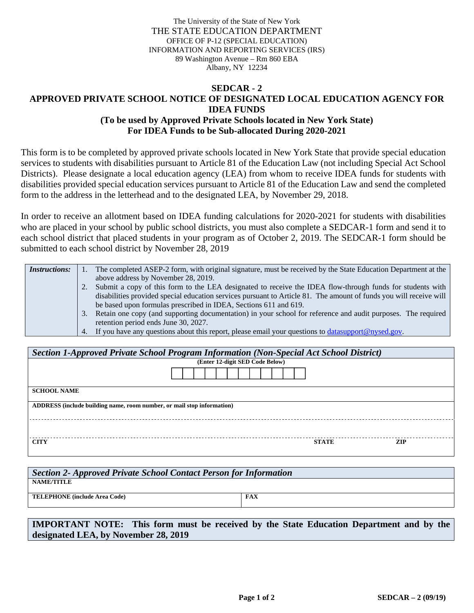The University of the State of New York THE STATE EDUCATION DEPARTMENT OFFICE OF P-12 (SPECIAL EDUCATION) INFORMATION AND REPORTING SERVICES (IRS) 89 Washington Avenue – Rm 860 EBA Albany, NY 12234

## **SEDCAR - 2 APPROVED PRIVATE SCHOOL NOTICE OF DESIGNATED LOCAL EDUCATION AGENCY FOR IDEA FUNDS (To be used by Approved Private Schools located in New York State) For IDEA Funds to be Sub-allocated During 2020-2021**

This form is to be completed by approved private schools located in New York State that provide special education services to students with disabilities pursuant to Article 81 of the Education Law (not including Special Act School Districts). Please designate a local education agency (LEA) from whom to receive IDEA funds for students with disabilities provided special education services pursuant to Article 81 of the Education Law and send the completed form to the address in the letterhead and to the designated LEA, by November 29, 2018.

In order to receive an allotment based on IDEA funding calculations for 2020-2021 for students with disabilities who are placed in your school by public school districts, you must also complete a SEDCAR-1 form and send it to each school district that placed students in your program as of October 2, 2019. The SEDCAR-1 form should be submitted to each school district by November 28, 2019

| <i>Instructions:</i> | The completed ASEP-2 form, with original signature, must be received by the State Education Department at the      |
|----------------------|--------------------------------------------------------------------------------------------------------------------|
|                      | above address by November 28, 2019.                                                                                |
|                      | Submit a copy of this form to the LEA designated to receive the IDEA flow-through funds for students with          |
|                      | disabilities provided special education services pursuant to Article 81. The amount of funds you will receive will |
|                      | be based upon formulas prescribed in IDEA, Sections 611 and 619.                                                   |
|                      | Retain one copy (and supporting documentation) in your school for reference and audit purposes. The required       |
|                      | retention period ends June 30, 2027.                                                                               |
|                      | 4. If you have any questions about this report, please email your questions to datasupport@nysed.gov.              |

| Section 1-Approved Private School Program Information (Non-Special Act School District) |              |            |  |  |  |  |  |
|-----------------------------------------------------------------------------------------|--------------|------------|--|--|--|--|--|
| (Enter 12-digit SED Code Below)                                                         |              |            |  |  |  |  |  |
|                                                                                         |              |            |  |  |  |  |  |
| <b>SCHOOL NAME</b>                                                                      |              |            |  |  |  |  |  |
| ADDRESS (include building name, room number, or mail stop information)                  |              |            |  |  |  |  |  |
|                                                                                         |              |            |  |  |  |  |  |
| <b>CITY</b>                                                                             | <b>STATE</b> | <b>ZIP</b> |  |  |  |  |  |

| Section 2- Approved Private School Contact Person for Information |            |  |  |  |  |
|-------------------------------------------------------------------|------------|--|--|--|--|
| <b>NAME/TITLE</b>                                                 |            |  |  |  |  |
| <b>TELEPHONE</b> (include Area Code)                              | <b>FAX</b> |  |  |  |  |
|                                                                   |            |  |  |  |  |

**IMPORTANT NOTE: This form must be received by the State Education Department and by the designated LEA, by November 28, 2019**